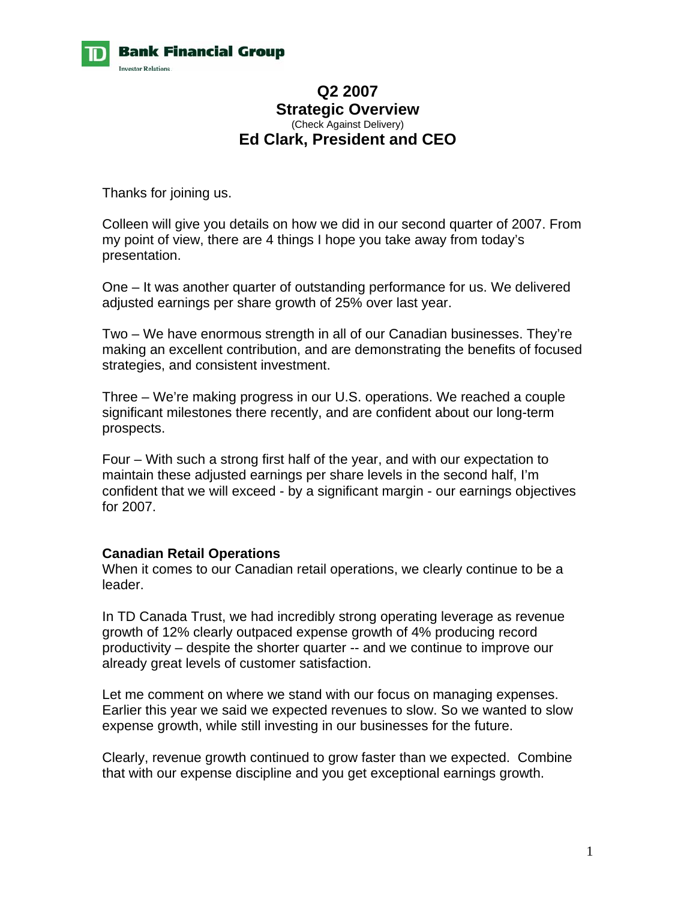

## **Q2 2007 Strategic Overview**  (Check Against Delivery) **Ed Clark, President and CEO**

Thanks for joining us.

Colleen will give you details on how we did in our second quarter of 2007. From my point of view, there are 4 things I hope you take away from today's presentation.

One – It was another quarter of outstanding performance for us. We delivered adjusted earnings per share growth of 25% over last year.

Two – We have enormous strength in all of our Canadian businesses. They're making an excellent contribution, and are demonstrating the benefits of focused strategies, and consistent investment.

Three – We're making progress in our U.S. operations. We reached a couple significant milestones there recently, and are confident about our long-term prospects.

Four – With such a strong first half of the year, and with our expectation to maintain these adjusted earnings per share levels in the second half, I'm confident that we will exceed - by a significant margin - our earnings objectives for 2007.

## **Canadian Retail Operations**

When it comes to our Canadian retail operations, we clearly continue to be a leader.

In TD Canada Trust, we had incredibly strong operating leverage as revenue growth of 12% clearly outpaced expense growth of 4% producing record productivity – despite the shorter quarter -- and we continue to improve our already great levels of customer satisfaction.

Let me comment on where we stand with our focus on managing expenses. Earlier this year we said we expected revenues to slow. So we wanted to slow expense growth, while still investing in our businesses for the future.

Clearly, revenue growth continued to grow faster than we expected. Combine that with our expense discipline and you get exceptional earnings growth.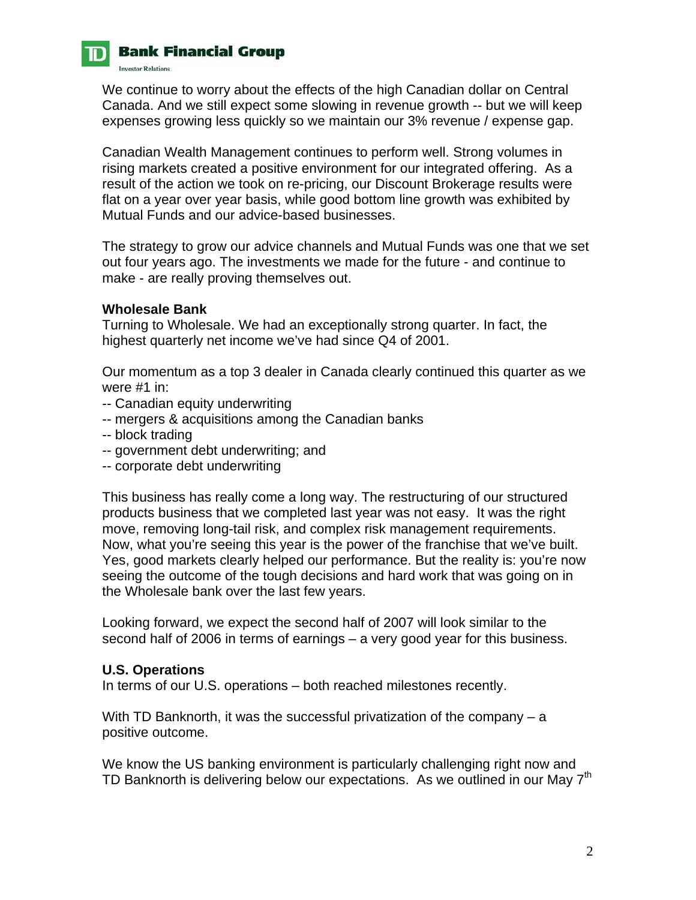

# **Bank Financial Group**

**Investor Relations.** 

We continue to worry about the effects of the high Canadian dollar on Central Canada. And we still expect some slowing in revenue growth -- but we will keep expenses growing less quickly so we maintain our 3% revenue / expense gap.

Canadian Wealth Management continues to perform well. Strong volumes in rising markets created a positive environment for our integrated offering. As a result of the action we took on re-pricing, our Discount Brokerage results were flat on a year over year basis, while good bottom line growth was exhibited by Mutual Funds and our advice-based businesses.

The strategy to grow our advice channels and Mutual Funds was one that we set out four years ago. The investments we made for the future - and continue to make - are really proving themselves out.

#### **Wholesale Bank**

Turning to Wholesale. We had an exceptionally strong quarter. In fact, the highest quarterly net income we've had since Q4 of 2001.

Our momentum as a top 3 dealer in Canada clearly continued this quarter as we were #1 in:

- -- Canadian equity underwriting
- -- mergers & acquisitions among the Canadian banks
- -- block trading
- -- government debt underwriting; and
- -- corporate debt underwriting

This business has really come a long way. The restructuring of our structured products business that we completed last year was not easy. It was the right move, removing long-tail risk, and complex risk management requirements. Now, what you're seeing this year is the power of the franchise that we've built. Yes, good markets clearly helped our performance. But the reality is: you're now seeing the outcome of the tough decisions and hard work that was going on in the Wholesale bank over the last few years.

Looking forward, we expect the second half of 2007 will look similar to the second half of 2006 in terms of earnings – a very good year for this business.

## **U.S. Operations**

In terms of our U.S. operations – both reached milestones recently.

With TD Banknorth, it was the successful privatization of the company – a positive outcome.

We know the US banking environment is particularly challenging right now and TD Banknorth is delivering below our expectations. As we outlined in our May 7<sup>th</sup>